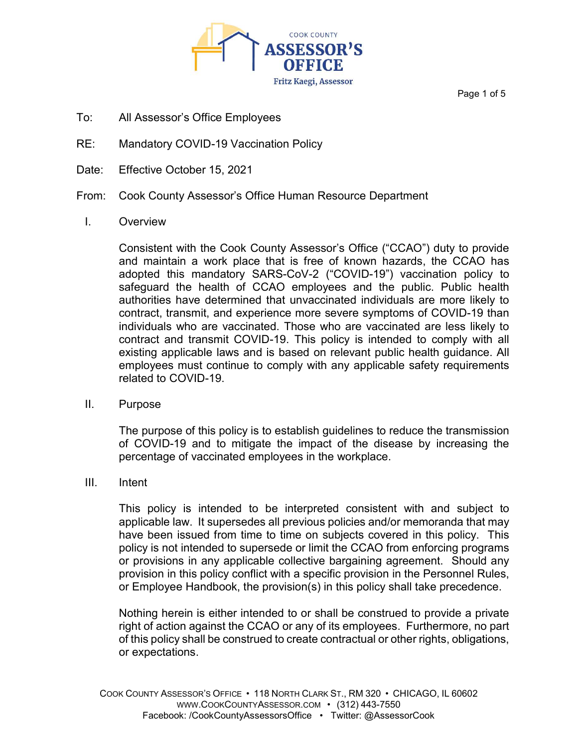

Page 1 of 5

- To: All Assessor's Office Employees
- RE: Mandatory COVID-19 Vaccination Policy
- Date: Effective October 15, 2021
- From: Cook County Assessor's Office Human Resource Department
	- I. Overview

Consistent with the Cook County Assessor's Office ("CCAO") duty to provide and maintain a work place that is free of known hazards, the CCAO has adopted this mandatory SARS-CoV-2 ("COVID-19") vaccination policy to safeguard the health of CCAO employees and the public. Public health authorities have determined that unvaccinated individuals are more likely to contract, transmit, and experience more severe symptoms of COVID-19 than individuals who are vaccinated. Those who are vaccinated are less likely to contract and transmit COVID-19. This policy is intended to comply with all existing applicable laws and is based on relevant public health guidance. All employees must continue to comply with any applicable safety requirements related to COVID-19.

II. Purpose

The purpose of this policy is to establish guidelines to reduce the transmission of COVID-19 and to mitigate the impact of the disease by increasing the percentage of vaccinated employees in the workplace.

III. Intent

This policy is intended to be interpreted consistent with and subject to applicable law. It supersedes all previous policies and/or memoranda that may have been issued from time to time on subjects covered in this policy. This policy is not intended to supersede or limit the CCAO from enforcing programs or provisions in any applicable collective bargaining agreement. Should any provision in this policy conflict with a specific provision in the Personnel Rules, or Employee Handbook, the provision(s) in this policy shall take precedence.

Nothing herein is either intended to or shall be construed to provide a private right of action against the CCAO or any of its employees. Furthermore, no part of this policy shall be construed to create contractual or other rights, obligations, or expectations.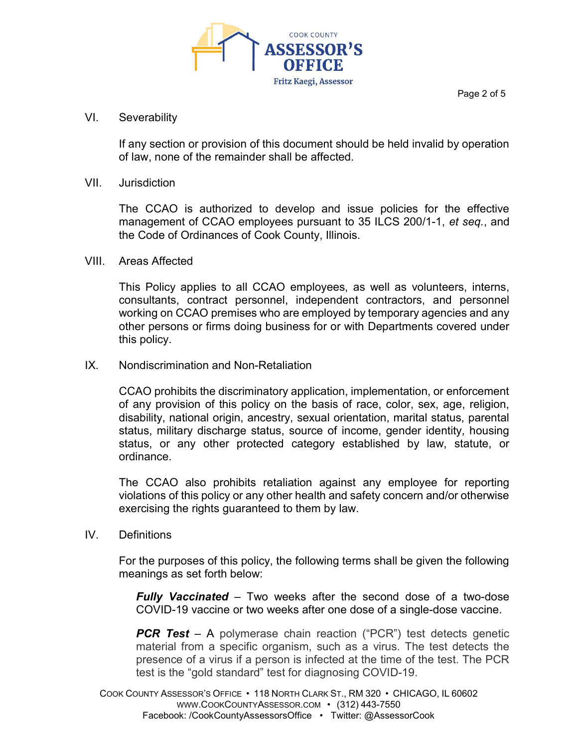

#### Page 2 of 5

### VI. Severability

If any section or provision of this document should be held invalid by operation of law, none of the remainder shall be affected.

### VII. Jurisdiction

The CCAO is authorized to develop and issue policies for the effective management of CCAO employees pursuant to 35 ILCS 200/1-1, et seq., and the Code of Ordinances of Cook County, Illinois.

#### VIII. Areas Affected

This Policy applies to all CCAO employees, as well as volunteers, interns, consultants, contract personnel, independent contractors, and personnel working on CCAO premises who are employed by temporary agencies and any other persons or firms doing business for or with Departments covered under this policy.

### IX. Nondiscrimination and Non-Retaliation

CCAO prohibits the discriminatory application, implementation, or enforcement of any provision of this policy on the basis of race, color, sex, age, religion, disability, national origin, ancestry, sexual orientation, marital status, parental status, military discharge status, source of income, gender identity, housing status, or any other protected category established by law, statute, or ordinance.

The CCAO also prohibits retaliation against any employee for reporting violations of this policy or any other health and safety concern and/or otherwise exercising the rights guaranteed to them by law.

### IV. Definitions

For the purposes of this policy, the following terms shall be given the following meanings as set forth below:

**Fully Vaccinated** – Two weeks after the second dose of a two-dose COVID-19 vaccine or two weeks after one dose of a single-dose vaccine.

**PCR Test** – A polymerase chain reaction ("PCR") test detects genetic material from a specific organism, such as a virus. The test detects the presence of a virus if a person is infected at the time of the test. The PCR test is the "gold standard" test for diagnosing COVID-19.

COOK COUNTY ASSESSOR'S OFFICE • 118 NORTH CLARK ST., RM 320 • CHICAGO, IL 60602 WWW.COOKCOUNTYASSESSOR.COM • (312) 443-7550 Facebook: /CookCountyAssessorsOffice • Twitter: @AssessorCook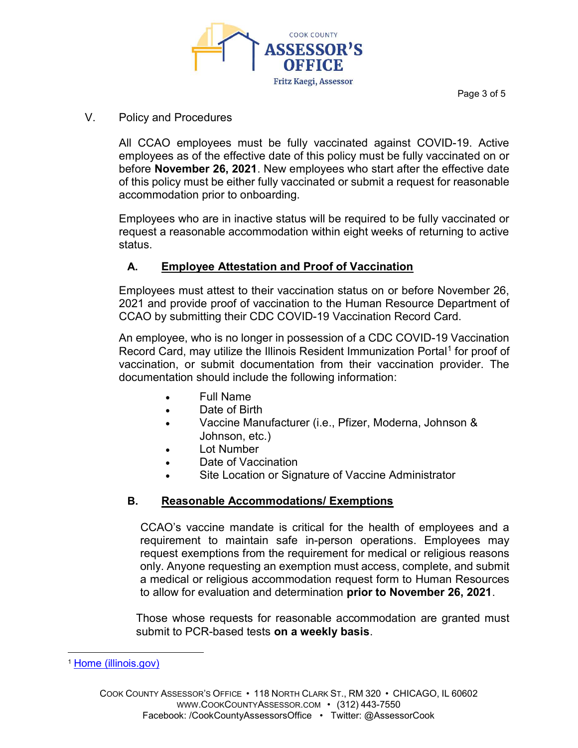

Page 3 of 5

## V. Policy and Procedures

All CCAO employees must be fully vaccinated against COVID-19. Active employees as of the effective date of this policy must be fully vaccinated on or before November 26, 2021. New employees who start after the effective date of this policy must be either fully vaccinated or submit a request for reasonable accommodation prior to onboarding.

Employees who are in inactive status will be required to be fully vaccinated or request a reasonable accommodation within eight weeks of returning to active status.

# A. Employee Attestation and Proof of Vaccination

Employees must attest to their vaccination status on or before November 26, 2021 and provide proof of vaccination to the Human Resource Department of CCAO by submitting their CDC COVID-19 Vaccination Record Card.

An employee, who is no longer in possession of a CDC COVID-19 Vaccination Record Card, may utilize the Illinois Resident Immunization Portal<sup>1</sup> for proof of vaccination, or submit documentation from their vaccination provider. The documentation should include the following information:

- Full Name
- Date of Birth
- Vaccine Manufacturer (i.e., Pfizer, Moderna, Johnson & Johnson, etc.)
- Lot Number
- Date of Vaccination
- Site Location or Signature of Vaccine Administrator

# B. Reasonable Accommodations/ Exemptions

CCAO's vaccine mandate is critical for the health of employees and a requirement to maintain safe in-person operations. Employees may request exemptions from the requirement for medical or religious reasons only. Anyone requesting an exemption must access, complete, and submit a medical or religious accommodation request form to Human Resources to allow for evaluation and determination prior to November 26, 2021.

Those whose requests for reasonable accommodation are granted must submit to PCR-based tests on a weekly basis.

<sup>1</sup> Home (illinois.gov)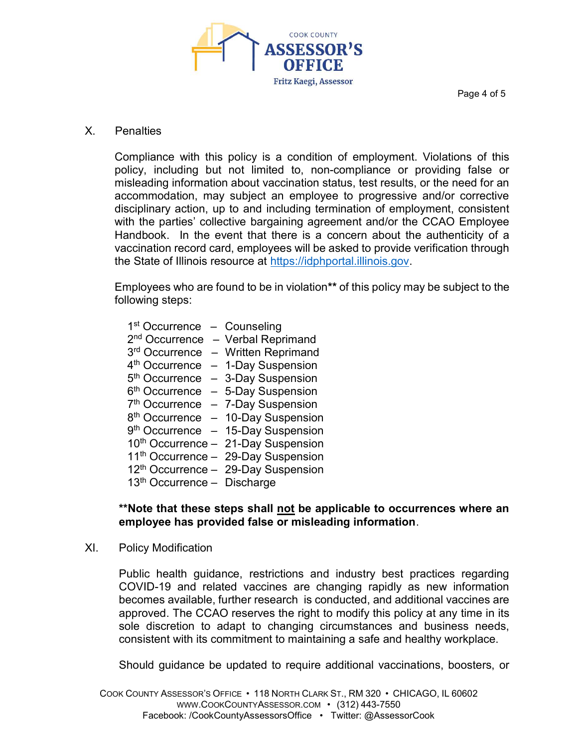

Page 4 of 5

### X. Penalties

Compliance with this policy is a condition of employment. Violations of this policy, including but not limited to, non-compliance or providing false or misleading information about vaccination status, test results, or the need for an accommodation, may subject an employee to progressive and/or corrective disciplinary action, up to and including termination of employment, consistent with the parties' collective bargaining agreement and/or the CCAO Employee Handbook. In the event that there is a concern about the authenticity of a vaccination record card, employees will be asked to provide verification through the State of Illinois resource at https://idphportal.illinois.gov.

Employees who are found to be in violation\*\* of this policy may be subject to the following steps:

| 1 <sup>st</sup> Occurrence              | - Counseling                                    |
|-----------------------------------------|-------------------------------------------------|
| 2 <sup>nd</sup> Occurrence              | - Verbal Reprimand                              |
| 3rd Occurrence                          | - Written Reprimand                             |
| 4 <sup>th</sup> Occurrence              | - 1-Day Suspension                              |
| 5 <sup>th</sup> Occurrence              | - 3-Day Suspension                              |
| 6 <sup>th</sup> Occurrence              | - 5-Day Suspension                              |
| 7 <sup>th</sup> Occurrence              | - 7-Day Suspension                              |
| 8 <sup>th</sup> Occurrence              | - 10-Day Suspension                             |
| 9 <sup>th</sup> Occurrence              | - 15-Day Suspension                             |
|                                         | 10 <sup>th</sup> Occurrence - 21-Day Suspension |
|                                         | 11 <sup>th</sup> Occurrence - 29-Day Suspension |
|                                         | $12th$ Occurrence - 29-Day Suspension           |
| 13 <sup>th</sup> Occurrence - Discharge |                                                 |

### \*\*Note that these steps shall not be applicable to occurrences where an employee has provided false or misleading information.

XI. Policy Modification

Public health guidance, restrictions and industry best practices regarding COVID-19 and related vaccines are changing rapidly as new information becomes available, further research is conducted, and additional vaccines are approved. The CCAO reserves the right to modify this policy at any time in its sole discretion to adapt to changing circumstances and business needs, consistent with its commitment to maintaining a safe and healthy workplace.

Should guidance be updated to require additional vaccinations, boosters, or